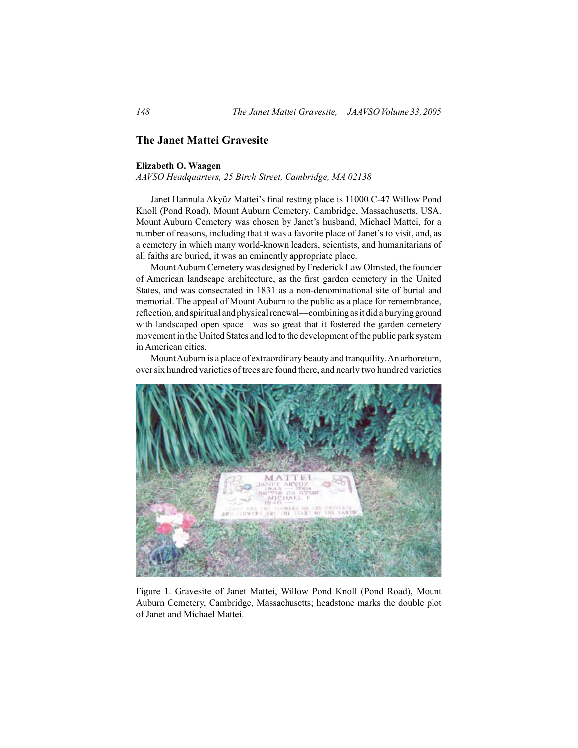## **The Janet Mattei Gravesite**

## **Elizabeth O. Waagen**

*AAVSO Headquarters, 25 Birch Street, Cambridge, MA 02138*

 Janet Hannula Akyüz Mattei's final resting place is 11000 C-47 Willow Pond Knoll (Pond Road), Mount Auburn Cemetery, Cambridge, Massachusetts, USA. Mount Auburn Cemetery was chosen by Janet's husband, Michael Mattei, for a number of reasons, including that it was a favorite place of Janet's to visit, and, as a cemetery in which many world-known leaders, scientists, and humanitarians of all faiths are buried, it was an eminently appropriate place.

Mount Auburn Cemetery was designed by Frederick Law Olmsted, the founder of American landscape architecture, as the first garden cemetery in the United States, and was consecrated in 1831 as a non-denominational site of burial and memorial. The appeal of Mount Auburn to the public as a place for remembrance, reflection, and spiritual and physical renewal—combining as it did a burying ground with landscaped open space—was so great that it fostered the garden cemetery movement in the United States and led to the development of the public park system in American cities.

 MountAuburn is a place of extraordinary beauty and tranquility.An arboretum, over six hundred varieties of trees are found there, and nearly two hundred varieties



Figure 1. Gravesite of Janet Mattei, Willow Pond Knoll (Pond Road), Mount Auburn Cemetery, Cambridge, Massachusetts; headstone marks the double plot of Janet and Michael Mattei.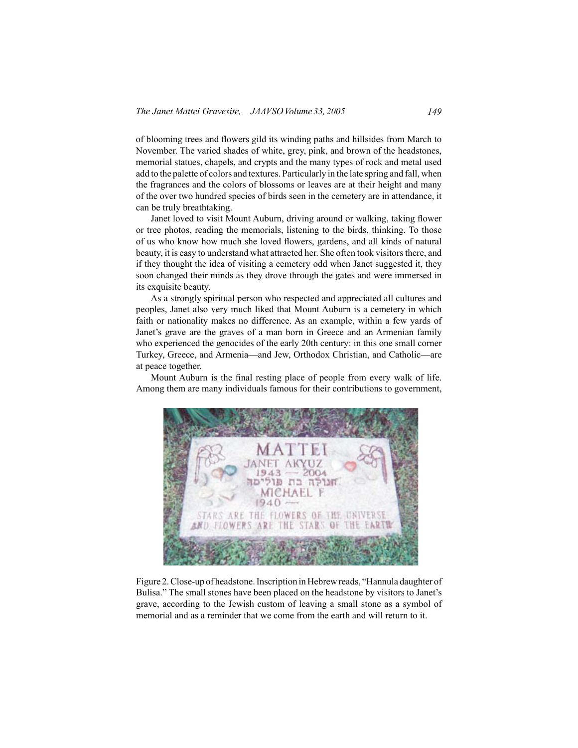of blooming trees and flowers gild its winding paths and hillsides from March to November. The varied shades of white, grey, pink, and brown of the headstones, memorial statues, chapels, and crypts and the many types of rock and metal used add to the palette of colors and textures. Particularly in the late spring and fall, when the fragrances and the colors of blossoms or leaves are at their height and many of the over two hundred species of birds seen in the cemetery are in attendance, it can be truly breathtaking.

 Janet loved to visit Mount Auburn, driving around or walking, taking flower or tree photos, reading the memorials, listening to the birds, thinking. To those of us who know how much she loved flowers, gardens, and all kinds of natural beauty, it is easy to understand what attracted her. She often took visitors there, and if they thought the idea of visiting a cemetery odd when Janet suggested it, they soon changed their minds as they drove through the gates and were immersed in its exquisite beauty.

 As a strongly spiritual person who respected and appreciated all cultures and peoples, Janet also very much liked that Mount Auburn is a cemetery in which faith or nationality makes no difference. As an example, within a few yards of Janet's grave are the graves of a man born in Greece and an Armenian family who experienced the genocides of the early 20th century: in this one small corner Turkey, Greece, and Armenia—and Jew, Orthodox Christian, and Catholic—are at peace together.

 Mount Auburn is the final resting place of people from every walk of life. Among them are many individuals famous for their contributions to government,



Figure 2.Close-up of headstone.Inscription inHebrewreads, "Hannula daughter of Bulisa." The small stones have been placed on the headstone by visitors to Janet's grave, according to the Jewish custom of leaving a small stone as a symbol of memorial and as a reminder that we come from the earth and will return to it.